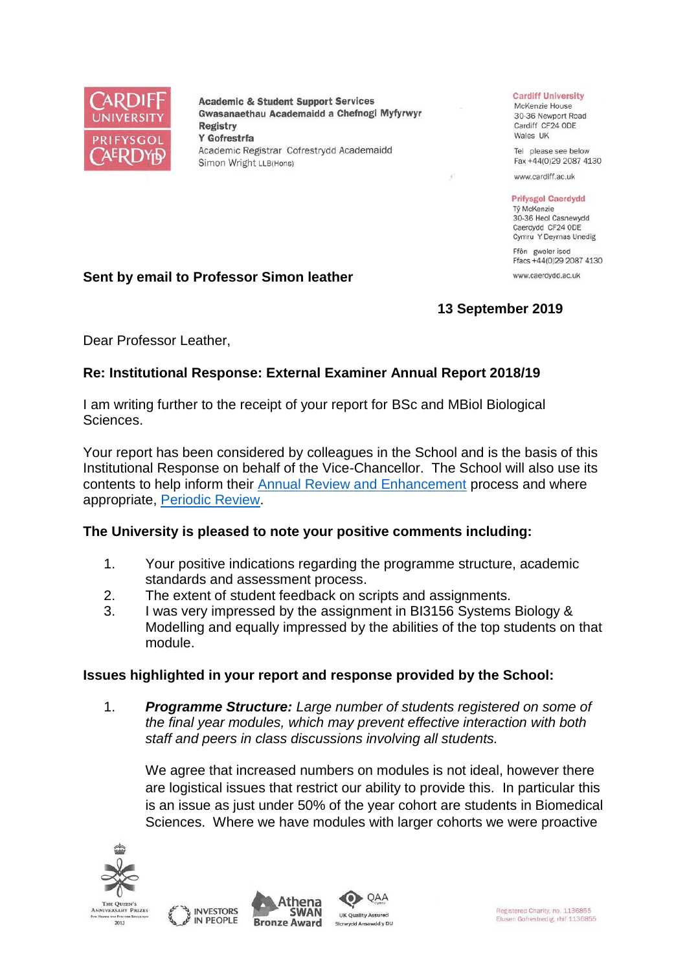

**Academic & Student Support Services** Gwasanaethau Academaidd a Chefnogi Myfyrwyr **Registry** Y Gofrestrfa Academic Registrar Cofrestrydd Academaidd Simon Wright LLB(Hons)

#### **Cardiff University**

McKenzie House 30-36 Newport Road Cardiff CF24 ODE Wales UK

Tel please see below Fax +44(0)29 2087 4130

www.cardiff.ac.uk

#### **Prifysgol Caerdydd** Tỷ McKenzie

30-36 Heol Casnewydd Caerdydd CF24 ODE Cymru Y Deyrnas Unedig

Ffôn gweler isod Ffacs +44(0)29 2087 4130 www.caerdydd.ac.uk

**13 September 2019**

Dear Professor Leather,

**Sent by email to Professor Simon leather**

# **Re: Institutional Response: External Examiner Annual Report 2018/19**

I am writing further to the receipt of your report for BSc and MBiol Biological Sciences.

Your report has been considered by colleagues in the School and is the basis of this Institutional Response on behalf of the Vice-Chancellor. The School will also use its contents to help inform their [Annual Review and Enhancement](https://www.cardiff.ac.uk/public-information/quality-and-standards/monitoring-and-review/annual-review-and-enhancement) process and where appropriate, [Periodic Review.](http://www.cardiff.ac.uk/public-information/quality-and-standards/monitoring-and-review/periodic-review)

## **The University is pleased to note your positive comments including:**

- 1. Your positive indications regarding the programme structure, academic standards and assessment process.
- 2. The extent of student feedback on scripts and assignments.
- 3. I was very impressed by the assignment in BI3156 Systems Biology & Modelling and equally impressed by the abilities of the top students on that module.

## **Issues highlighted in your report and response provided by the School:**

1. *Programme Structure: Large number of students registered on some of the final year modules, which may prevent effective interaction with both staff and peers in class discussions involving all students.*

We agree that increased numbers on modules is not ideal, however there are logistical issues that restrict our ability to provide this. In particular this is an issue as just under 50% of the year cohort are students in Biomedical Sciences. Where we have modules with larger cohorts we were proactive





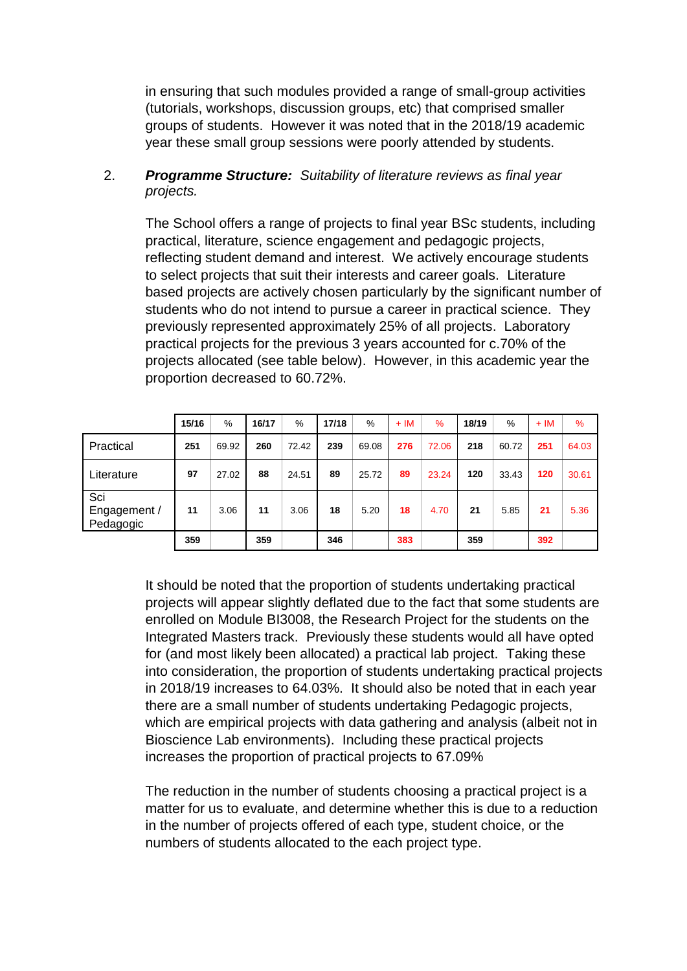in ensuring that such modules provided a range of small-group activities (tutorials, workshops, discussion groups, etc) that comprised smaller groups of students. However it was noted that in the 2018/19 academic year these small group sessions were poorly attended by students.

# 2. *Programme Structure: Suitability of literature reviews as final year projects.*

The School offers a range of projects to final year BSc students, including practical, literature, science engagement and pedagogic projects, reflecting student demand and interest. We actively encourage students to select projects that suit their interests and career goals. Literature based projects are actively chosen particularly by the significant number of students who do not intend to pursue a career in practical science. They previously represented approximately 25% of all projects. Laboratory practical projects for the previous 3 years accounted for c.70% of the projects allocated (see table below). However, in this academic year the proportion decreased to 60.72%.

|                                  | 15/16 | %     | 16/17 | %     | 17/18 | %     | $+IM$ | $\%$  | 18/19 | %     | $+IM$ | $\%$  |
|----------------------------------|-------|-------|-------|-------|-------|-------|-------|-------|-------|-------|-------|-------|
| Practical                        | 251   | 69.92 | 260   | 72.42 | 239   | 69.08 | 276   | 72.06 | 218   | 60.72 | 251   | 64.03 |
| Literature                       | 97    | 27.02 | 88    | 24.51 | 89    | 25.72 | 89    | 23.24 | 120   | 33.43 | 120   | 30.61 |
| Sci<br>Engagement /<br>Pedagogic | 11    | 3.06  | 11    | 3.06  | 18    | 5.20  | 18    | 4.70  | 21    | 5.85  | 21    | 5.36  |
|                                  | 359   |       | 359   |       | 346   |       | 383   |       | 359   |       | 392   |       |

It should be noted that the proportion of students undertaking practical projects will appear slightly deflated due to the fact that some students are enrolled on Module BI3008, the Research Project for the students on the Integrated Masters track. Previously these students would all have opted for (and most likely been allocated) a practical lab project. Taking these into consideration, the proportion of students undertaking practical projects in 2018/19 increases to 64.03%. It should also be noted that in each year there are a small number of students undertaking Pedagogic projects, which are empirical projects with data gathering and analysis (albeit not in Bioscience Lab environments). Including these practical projects increases the proportion of practical projects to 67.09%

The reduction in the number of students choosing a practical project is a matter for us to evaluate, and determine whether this is due to a reduction in the number of projects offered of each type, student choice, or the numbers of students allocated to the each project type.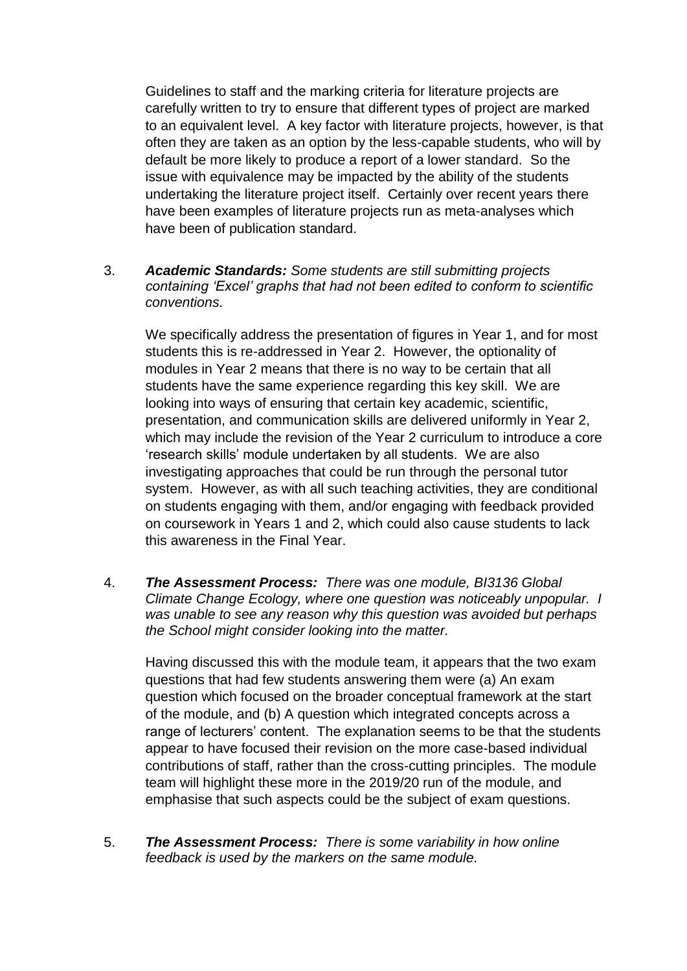Guidelines to staff and the marking criteria for literature projects are carefully written to try to ensure that different types of project are marked to an equivalent level. A key factor with literature projects, however, is that often they are taken as an option by the less-capable students, who will by default be more likely to produce a report of a lower standard. So the issue with equivalence may be impacted by the ability of the students undertaking the literature project itself. Certainly over recent years there have been examples of literature projects run as meta-analyses which have been of publication standard.

# 3. *Academic Standards: Some students are still submitting projects containing 'Excel' graphs that had not been edited to conform to scientific conventions.*

We specifically address the presentation of figures in Year 1, and for most students this is re-addressed in Year 2. However, the optionality of modules in Year 2 means that there is no way to be certain that all students have the same experience regarding this key skill. We are looking into ways of ensuring that certain key academic, scientific, presentation, and communication skills are delivered uniformly in Year 2, which may include the revision of the Year 2 curriculum to introduce a core 'research skills' module undertaken by all students. We are also investigating approaches that could be run through the personal tutor system. However, as with all such teaching activities, they are conditional on students engaging with them, and/or engaging with feedback provided on coursework in Years 1 and 2, which could also cause students to lack this awareness in the Final Year.

4. *The Assessment Process: There was one module, BI3136 Global Climate Change Ecology, where one question was noticeably unpopular. I was unable to see any reason why this question was avoided but perhaps the School might consider looking into the matter.*

Having discussed this with the module team, it appears that the two exam questions that had few students answering them were (a) An exam question which focused on the broader conceptual framework at the start of the module, and (b) A question which integrated concepts across a range of lecturers' content. The explanation seems to be that the students appear to have focused their revision on the more case-based individual contributions of staff, rather than the cross-cutting principles. The module team will highlight these more in the 2019/20 run of the module, and emphasise that such aspects could be the subject of exam questions.

5. *The Assessment Process: There is some variability in how online feedback is used by the markers on the same module.*